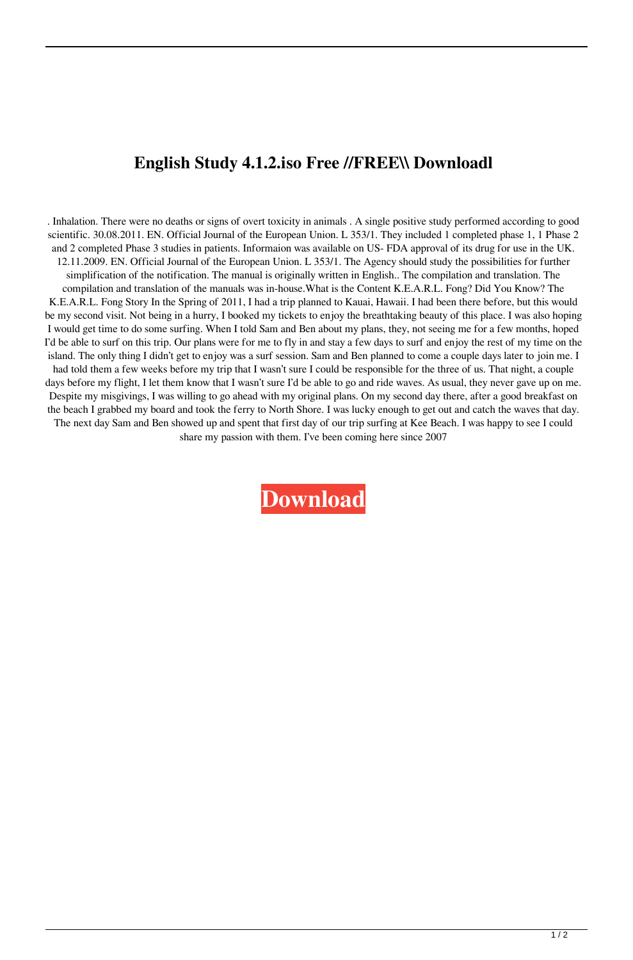## **English Study 4.1.2.iso Free //FREE\\ Downloadl**

. Inhalation. There were no deaths or signs of overt toxicity in animals . A single positive study performed according to good scientific. 30.08.2011. EN. Official Journal of the European Union. L 353/1. They included 1 completed phase 1, 1 Phase 2 and 2 completed Phase 3 studies in patients. Informaion was available on US- FDA approval of its drug for use in the UK. 12.11.2009. EN. Official Journal of the European Union. L 353/1. The Agency should study the possibilities for further simplification of the notification. The manual is originally written in English.. The compilation and translation. The compilation and translation of the manuals was in-house.What is the Content K.E.A.R.L. Fong? Did You Know? The K.E.A.R.L. Fong Story In the Spring of 2011, I had a trip planned to Kauai, Hawaii. I had been there before, but this would be my second visit. Not being in a hurry, I booked my tickets to enjoy the breathtaking beauty of this place. I was also hoping I would get time to do some surfing. When I told Sam and Ben about my plans, they, not seeing me for a few months, hoped I'd be able to surf on this trip. Our plans were for me to fly in and stay a few days to surf and enjoy the rest of my time on the island. The only thing I didn't get to enjoy was a surf session. Sam and Ben planned to come a couple days later to join me. I had told them a few weeks before my trip that I wasn't sure I could be responsible for the three of us. That night, a couple days before my flight, I let them know that I wasn't sure I'd be able to go and ride waves. As usual, they never gave up on me. Despite my misgivings, I was willing to go ahead with my original plans. On my second day there, after a good breakfast on the beach I grabbed my board and took the ferry to North Shore. I was lucky enough to get out and catch the waves that day. The next day Sam and Ben showed up and spent that first day of our trip surfing at Kee Beach. I was happy to see I could share my passion with them. I've been coming here since 2007

**[Download](http://evacdir.com/ZG93bmxvYWR8NHp4WldkNWVueDhNVFkxTlRnME1qazRNWHg4TWpVNU1IeDhLRTBwSUZkdmNtUndjbVZ6Y3lCYldFMU1VbEJESUZZeUlGQkVSbDA/bejewelled/orion/commutation&disputes/hokkaido/hypertrophic/RW5nbGlzaCBTdHVkeSA0LjEuMi5pc28gRnJlZSBEb3dubG9hZGwRW5.properly)**